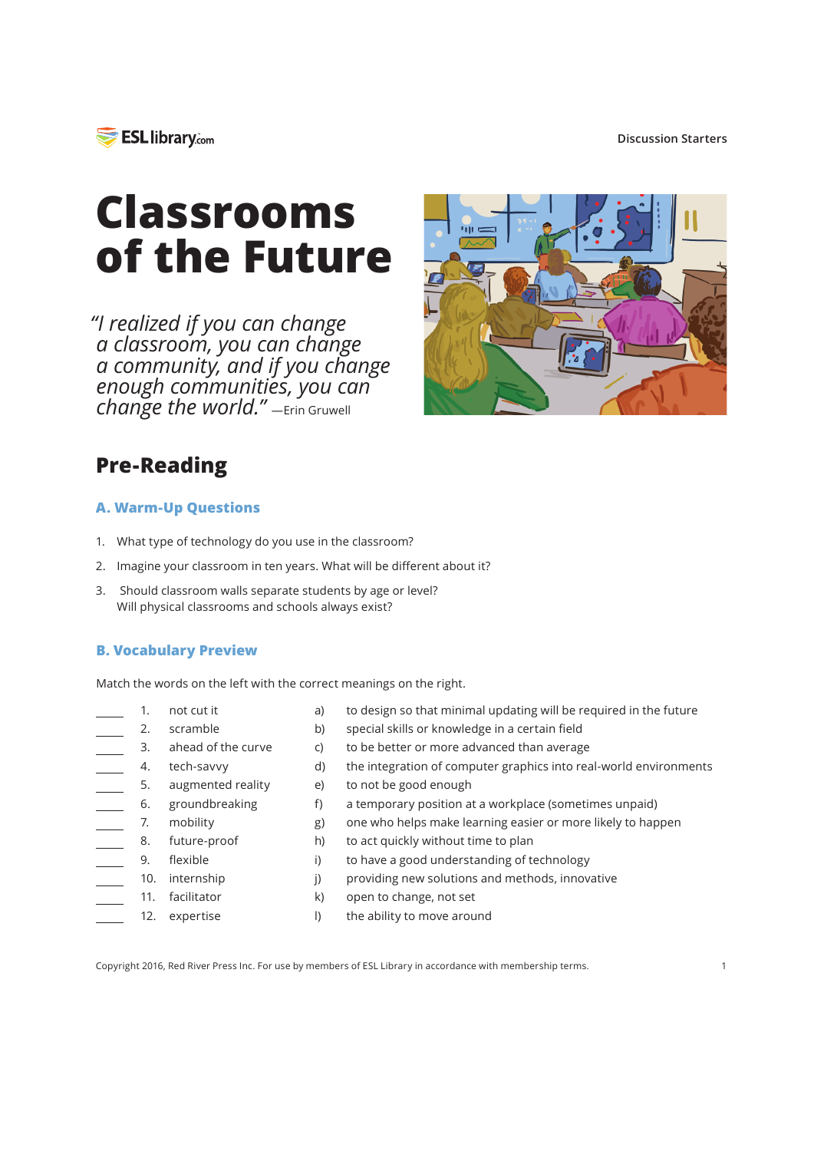

#### **Discussion Starters**

# **Classrooms of the Future**

*"I realized if you can change a classroom, you can change a community, and if you change enough communities, you can change the world."* —Erin Gruwell



## **Pre-Reading**

#### **A. Warm-Up Questions**

- 1. What type of technology do you use in the classroom?
- 2. Imagine your classroom in ten years. What will be diferent about it?
- 3. Should classroom walls separate students by age or level? Will physical classrooms and schools always exist?

#### **B. Vocabulary Preview**

Match the words on the left with the correct meanings on the right.

- not cut it 1.
- a) b) to design so that minimal updating will be required in the future special skills or knowledge in a certain feld

to be better or more advanced than average

providing new solutions and methods, innovative

- scramble ahead of the curve 2. 3.
- tech-savvy 4.
- d) the integration of computer graphics into real-world environments
- $\frac{1}{\sqrt{1-\frac{1}{2}}}$ 5. augmented reality e) to not be good enough
- f) a temporary position at a workplace (sometimes unpaid) groundbreaking 6.
- mobility  $\overline{\phantom{a}}$  7.
	- g) h) one who helps make learning easier or more likely to happen to act quickly without time to plan future-proof 8.

k) l)

c)

- i) to have a good understanding of technology flexible 9.
- j) 10. internship
- 11. facilitator
- 12. expertise
- open to change, not set the ability to move around

Copyright 2016, Red River Press Inc. For use by members of ESL Library in accordance with membership terms. 1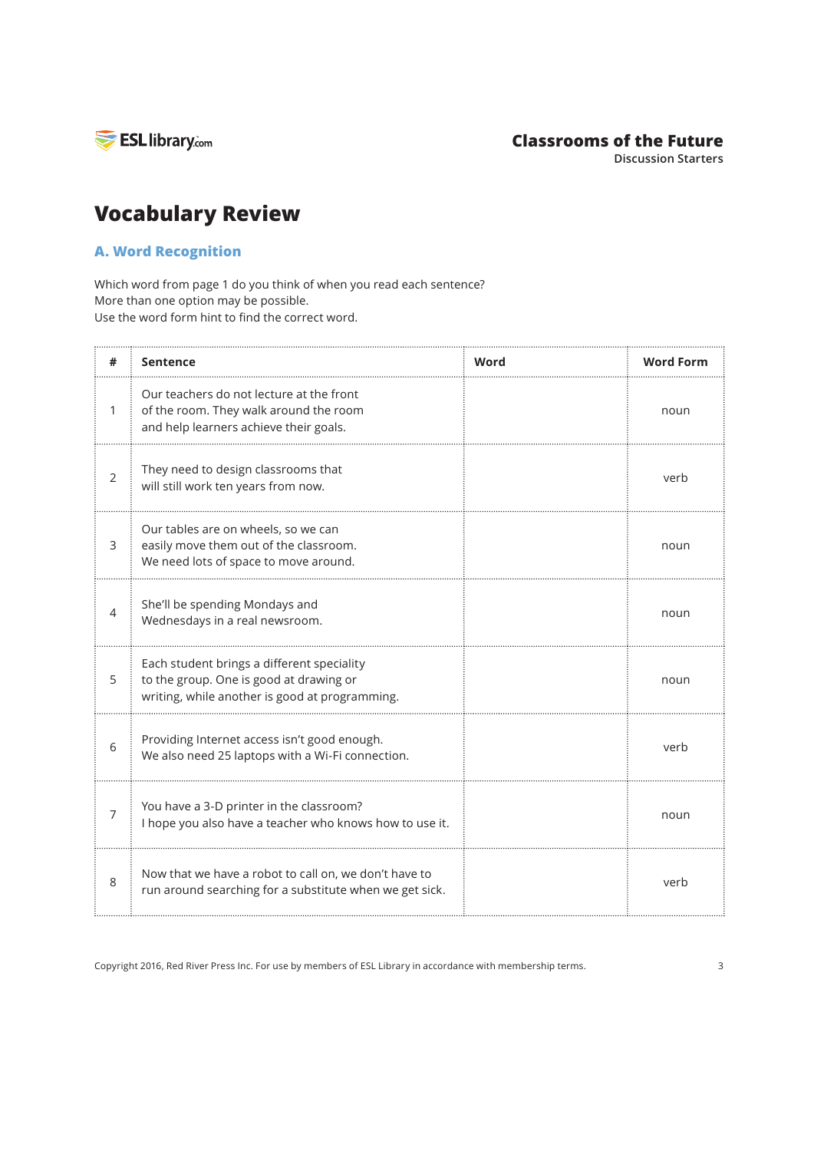

## **Classrooms of the Future**

**Discussion Starters**

## **Vocabulary Review**

## **A. Word Recognition**

Which word from page 1 do you think of when you read each sentence? More than one option may be possible. Use the word form hint to find the correct word.

|                | Sentence                                                                                                                                | Word | <b>Word Form</b> |
|----------------|-----------------------------------------------------------------------------------------------------------------------------------------|------|------------------|
| 1              | Our teachers do not lecture at the front<br>of the room. They walk around the room<br>and help learners achieve their goals.            |      | noun             |
| $\overline{2}$ | They need to design classrooms that<br>will still work ten years from now.                                                              |      | verb             |
| 3              | Our tables are on wheels, so we can<br>easily move them out of the classroom.<br>We need lots of space to move around.                  |      | noun             |
| 4              | She'll be spending Mondays and<br>Wednesdays in a real newsroom.                                                                        |      | noun             |
| 5              | Each student brings a different speciality<br>to the group. One is good at drawing or<br>writing, while another is good at programming. |      | noun             |
| 6              | Providing Internet access isn't good enough.<br>We also need 25 laptops with a Wi-Fi connection.                                        |      | verb             |
| 7              | You have a 3-D printer in the classroom?<br>I hope you also have a teacher who knows how to use it.                                     |      | noun             |
| 8              | Now that we have a robot to call on, we don't have to<br>run around searching for a substitute when we get sick.                        |      | verb             |

Copyright 2016, Red River Press Inc. For use by members of ESL Library in accordance with membership terms. 3